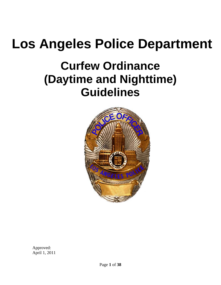# **Los Angeles Police Department**

## **Curfew Ordinance (Daytime and Nighttime) Guidelines**



Approved: April 1, 2011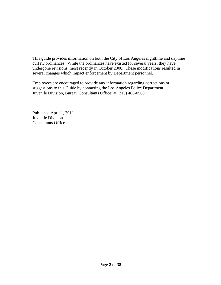This guide provides information on both the City of Los Angeles nighttime and daytime curfew ordinances. While the ordinances have existed for several years, they have undergone revisions, most recently in October 2008. These modifications resulted in several changes which impact enforcement by Department personnel.

Employees are encouraged to provide any information regarding corrections or suggestions to this Guide by contacting the Los Angeles Police Department, Juvenile Division, Bureau Consultants Office, at (213) 486-0560.

Published April 1, 2011 Juvenile Division Consultants Office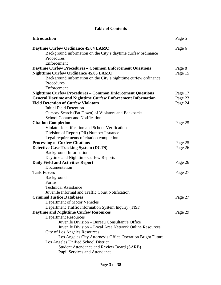#### **Table of Contents**

| <b>Introduction</b>                                                                                                       | Page 5  |
|---------------------------------------------------------------------------------------------------------------------------|---------|
| <b>Daytime Curfew Ordinance 45.04 LAMC</b><br>Background information on the City's daytime curfew ordinance<br>Procedures | Page 6  |
| Enforcement                                                                                                               |         |
| <b>Daytime Curfew Procedures - Common Enforcement Questions</b>                                                           | Page 8  |
| <b>Nighttime Curfew Ordinance 45.03 LAMC</b>                                                                              | Page 15 |
| Background information on the City's nighttime curfew ordinance<br>Procedures                                             |         |
| Enforcement                                                                                                               |         |
| <b>Nighttime Curfew Procedures - Common Enforcement Questions</b>                                                         | Page 17 |
| <b>General Daytime and Nighttime Curfew Enforcement Information</b>                                                       | Page 23 |
| <b>Field Detention of Curfew Violators</b>                                                                                | Page 24 |
| <b>Initial Field Detention</b>                                                                                            |         |
| Cursory Search (Pat Down) of Violators and Backpacks                                                                      |         |
| School Contact and Notification                                                                                           |         |
| <b>Citation Completion</b>                                                                                                | Page 25 |
| Violator Identification and School Verification                                                                           |         |
| Division of Report (DR) Number Issuance                                                                                   |         |
| Legal requirements of citation completion                                                                                 |         |
| <b>Processing of Curfew Citations</b>                                                                                     | Page 25 |
| <b>Detective Case Tracking System (DCTS)</b>                                                                              | Page 26 |
| <b>Background Information</b>                                                                                             |         |
| Daytime and Nighttime Curfew Reports                                                                                      |         |
| <b>Daily Field and Activities Report</b>                                                                                  | Page 26 |
| Documentation                                                                                                             |         |
| <b>Task Forces</b>                                                                                                        | Page 27 |
| Background                                                                                                                |         |
| Forms                                                                                                                     |         |
| <b>Technical Assistance</b>                                                                                               |         |
| Juvenile Informal and Traffic Court Notification                                                                          |         |
| <b>Criminal Justice Databases</b>                                                                                         | Page 27 |
| Department of Motor Vehicles                                                                                              |         |
| Department Traffic Information System Inquiry (TISI)                                                                      |         |
| <b>Daytime and Nighttime Curfew Resources</b>                                                                             | Page 29 |
| <b>Department Resources</b>                                                                                               |         |
| Juvenile Division – Bureau Consultant's Office<br>Juvenile Division - Local Area Network Online Resources                 |         |
|                                                                                                                           |         |
| City of Los Angeles Resources<br>Los Angeles City Attorney's Office Operation Bright Future                               |         |
| Los Angeles Unified School District                                                                                       |         |
| <b>Student Attendance and Review Board (SARB)</b>                                                                         |         |
| <b>Pupil Services and Attendance</b>                                                                                      |         |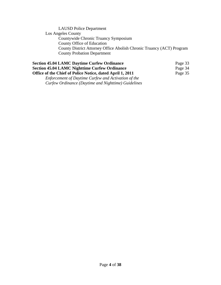| <b>LAUSD</b> Police Department                                        |
|-----------------------------------------------------------------------|
| Los Angeles County                                                    |
| Countywide Chronic Truancy Symposium                                  |
| County Office of Education                                            |
| County District Attorney Office Abolish Chronic Truancy (ACT) Program |
| <b>County Probation Department</b>                                    |
|                                                                       |

| <b>Section 45.04 LAMC Daytime Curfew Ordinance</b>        | Page 33 |
|-----------------------------------------------------------|---------|
| <b>Section 45.04 LAMC Nighttime Curfew Ordinance</b>      | Page 34 |
| Office of the Chief of Police Notice, dated April 1, 2011 | Page 35 |
| Enforcement of Daytime Curfew and Activation of the       |         |
| Curfew Ordinance (Daytime and Nighttime) Guidelines       |         |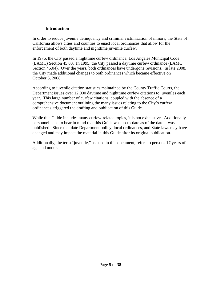#### **Introduction**

In order to reduce juvenile delinquency and criminal victimization of minors, the State of California allows cities and counties to enact local ordinances that allow for the enforcement of both daytime and nighttime juvenile curfew.

In 1976, the City passed a nighttime curfew ordinance, Los Angeles Municipal Code (LAMC) Section 45.03. In 1995, the City passed a daytime curfew ordinance (LAMC Section 45.04). Over the years, both ordinances have undergone revisions. In late 2008, the City made additional changes to both ordinances which became effective on October 5, 2008.

According to juvenile citation statistics maintained by the County Traffic Courts, the Department issues over 12,000 daytime and nighttime curfew citations to juveniles each year. This large number of curfew citations, coupled with the absence of a comprehensive document outlining the many issues relating to the City's curfew ordinances, triggered the drafting and publication of this Guide.

While this Guide includes many curfew-related topics, it is not exhaustive. Additionally personnel need to bear in mind that this Guide was up-to-date as of the date it was published. Since that date Department policy, local ordinances, and State laws may have changed and may impact the material in this Guide after its original publication.

Additionally, the term "juvenile," as used in this document, refers to persons 17 years of age and under.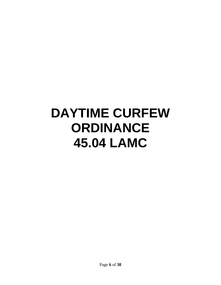# **DAYTIME CURFEW ORDINANCE 45.04 LAMC**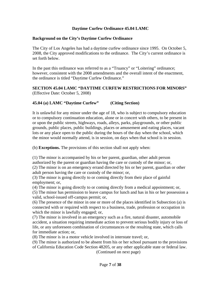#### **Daytime Curfew Ordinance 45.04 LAMC**

#### **Background on the City's Daytime Curfew Ordinance**

The City of Los Angeles has had a daytime curfew ordinance since 1995. On October 5, 2008, the City approved modifications to the ordinance. The City's current ordinance is set forth below.

In the past this ordinance was referred to as a "Truancy" or "Loitering" ordinance; however, consistent with the 2008 amendments and the overall intent of the enactment, the ordinance is titled "Daytime Curfew Ordinance."

**SECTION 45.04 LAMC "DAYTIME CURFEW RESTRICTIONS FOR MINORS"**  (Effective Date: October 5, 2008)

#### **45.04 (a) LAMC "Daytime Curfew" (Citing Section)**

It is unlawful for any minor under the age of 18, who is subject to compulsory education or to compulsory continuation education, alone or in concert with others, to be present in or upon the public streets, highways, roads, alleys, parks, playgrounds, or other public grounds, public places, public buildings, places or amusement and eating places, vacant lots or any place open to the public during the hours of the day when the school, which the minor would normally attend, is in session, on days when that school is in session.

(b) **Exceptions.** The provisions of this section shall not apply when:

(1) The minor is accompanied by his or her parent, guardian, other adult person authorized by the parent or guardian having the care or custody of the minor; or,

(2) The minor is on an emergency errand directed by his or her parent, guardian or other adult person having the care or custody of the minor; or,

(3) The minor is going directly to or coming directly from their place of gainful employment; or,

(4) The minor is going directly to or coming directly from a medical appointment; or,

(5) The minor has permission to leave campus for lunch and has in his or her possession a valid, school-issued off-campus permit; or,

(6) The presence of the minor in one or more of the places identified in Subsection (a) is connected with or required with respect to a business, trade, profession or occupation in which the minor is lawfully engaged; or,

(7) The minor is involved in an emergency such as a fire, natural disaster, automobile accident, a situation requiring immediate action to prevent serious bodily injury or loss of life, or any unforeseen combination of circumstances or the resulting state, which calls for immediate action; or,

(8) The minor is in a motor vehicle involved in interstate travel; or,

(9) The minor is authorized to be absent from his or her school pursuant to the provisions of California Education Code Section 48205, or any other applicable state or federal law.

(Continued on next page)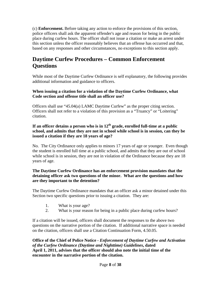(c) **Enforcement.** Before taking any action to enforce the provisions of this section, police officers shall ask the apparent offender's age and reason for being in the public place during curfew hours. The officer shall not issue a citation or make an arrest under this section unless the officer reasonably believes that an offense has occurred and that, based on any responses and other circumstances, no exceptions to this section apply.

### **Daytime Curfew Procedures – Common Enforcement Questions**

While most of the Daytime Curfew Ordinance is self explanatory, the following provides additional information and guidance to officers.

#### **When issuing a citation for a violation of the Daytime Curfew Ordinance, what Code section and offense title shall an officer use?**

Officers shall use "45.04(a) LAMC Daytime Curfew" as the proper citing section. Officers shall not refer to a violation of this provision as a "Truancy" or "Loitering" citation.

#### **If an officer detains a person who is in 12th grade, enrolled full-time at a public school, and admits that they are not in school while school is in session, can they be issued a citation if they are 18 years of age?**

No. The City Ordinance only applies to minors 17 years of age or younger. Even though the student is enrolled full time at a public school, and admits that they are out of school while school is in session, they are not in violation of the Ordinance because they are 18 years of age.

#### **The Daytime Curfew Ordinance has an enforcement provision mandates that the detaining officer ask two questions of the minor. What are the questions and how are they important to the detention?**

The Daytime Curfew Ordinance mandates that an officer ask a minor detained under this Section two specific questions prior to issuing a citation. They are:

- 1. What is your age?
- 2. What is your reason for being in a public place during curfew hours?

If a citation will be issued, officers shall document the responses to the above two questions on the narrative portion of the citation. If additional narrative space is needed on the citation, officers shall use a Citation Continuation Form, 4.50.05.

**Office of the Chief of Police Notice -** *Enforcement of Daytime Curfew and Activation of the Curfew Ordinance (Daytime and Nighttime) Guidelines***, dated April 1, 2011, advises that the officer should also note the initial time of the encounter in the narrative portion of the citation.**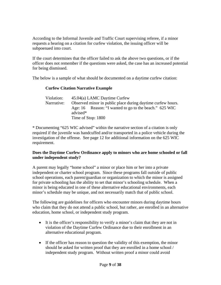According to the Informal Juvenile and Traffic Court supervising referee, if a minor requests a hearing on a citation for curfew violation, the issuing officer will be subpoenaed into court.

If the court determines that the officer failed to ask the above two questions, or if the officer does not remember if the questions were asked, the case has an increased potential for being dismissed.

The below is a sample of what should be documented on a daytime curfew citation:

#### **Curfew Citation Narrative Example**

| Violation: | 45.04(a) LAMC Daytime Curfew                                |
|------------|-------------------------------------------------------------|
| Narrative: | Observed minor in public place during daytime curfew hours. |
|            | Age: 16 Reason: "I wanted to go to the beach." 625 WIC      |
|            | advised*                                                    |
|            | Time of Stop: 1800                                          |

\* Documenting "625 WIC advised" within the narrative section of a citation is only required if the juvenile was handcuffed and/or transported in a police vehicle during the investigation of the offense. See page 12 for additional information on the 625 WIC requirement.

#### **Does the Daytime Curfew Ordinance apply to minors who are home schooled or fall under independent study?**

A parent may legally "home school" a minor or place him or her into a private independent or charter school program. Since these programs fall outside of public school operations, each parent/guardian or organization to which the minor is assigned for private schooling has the ability to set that minor's schooling schedule. When a minor is being educated in one of these alternative educational environments, each minor's schedule may be unique, and not necessarily match that of public school.

The following are guidelines for officers who encounter minors during daytime hours who claim that they do not attend a public school, but rather, are enrolled in an alternative education, home school, or independent study program.

- It is the officer's responsibility to verify a minor's claim that they are not in violation of the Daytime Curfew Ordinance due to their enrollment in an alternative educational program.
- If the officer has reason to question the validity of this exemption, the minor should be asked for written proof that they are enrolled in a home school / independent study program. Without written proof a minor could avoid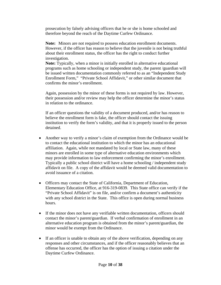prosecution by falsely advising officers that he or she is home schooled and therefore beyond the reach of the Daytime Curfew Ordinance.

**Note:** Minors are not required to possess education enrollment documents. However, if the officer has reason to believe that the juvenile is not being truthful about their enrollment status, the officer has the right to conduct further investigation.

**Note:** Typically, when a minor is initially enrolled in alternative educational programs such as home schooling or independent study, the parent /guardian will be issued written documentation commonly referred to as an "Independent Study Enrollment Form," "Private School Affidavit," or other similar document that confirms the minor's enrollment.

Again, possession by the minor of these forms is not required by law. However, their possession and/or review may help the officer determine the minor's status in relation to the ordinance.

If an officer questions the validity of a document produced, and/or has reason to believe the enrollment form is fake, the officer should contact the issuing institution to verify the form's validity, and that it is properly issued to the person detained.

- Another way to verify a minor's claim of exemption from the Ordinance would be to contact the educational institution to which the minor has an educational affiliation. Again, while not mandated by local or State law, many of these minors are enrolled in some type of alternative education environments which may provide information to law enforcement confirming the minor's enrollment. Typically a public school district will have a home schooling / independent study affidavit on file. A copy of the affidavit would be deemed valid documentation to avoid issuance of a citation.
- Officers may contact the State of California, Department of Education, Elementary Education Office, at 916-319-0839. This State office can verify if the "Private School Affidavit" is on file, and/or confirm a document's authenticity with any school district in the State. This office is open during normal business hours.
- If the minor does not have any verifiable written documentation, officers should contact the minor's parent/guardian. If verbal confirmation of enrollment in an alternative education program is obtained from the minor's parent/guardian, the minor would be exempt from the Ordinance.
- If an officer is unable to obtain any of the above verification, depending on any responses and other circumstances, and if the officer reasonably believes that an offense has occurred, the officer has the option of issuing a citation under the Daytime Curfew Ordinance.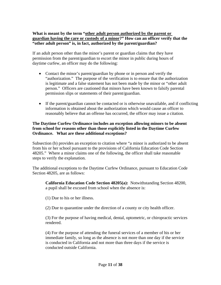#### **What is meant by the term "other adult person authorized by the parent or guardian having the care or custody of a minor?" How can an officer verify that the "other adult person" is, in fact, authorized by the parent/guardian?**

If an adult person other than the minor's parent or guardian claims that they have permission from the parent/guardian to escort the minor in public during hours of daytime curfew, an officer may do the following:

- Contact the minor's parent/guardian by phone or in person and verify the "authorization." The purpose of the verification is to ensure that the authorization is legitimate and a false statement has not been made by the minor or "other adult person." Officers are cautioned that minors have been known to falsify parental permission slips or statements of their parent/guardian.
- If the parent/guardian cannot be contacted or is otherwise unavailable, and if conflicting information is obtained about the authorization which would cause an officer to reasonably believe that an offense has occurred, the officer may issue a citation.

#### **The Daytime Curfew Ordinance includes an exception allowing minors to be absent from school for reasons other than those explicitly listed in the Daytime Curfew Ordinance. What are these additional exceptions?**

Subsection (b) provides an exception to citation where "a minor is authorized to be absent from his or her school pursuant to the provisions of California Education Code Section 48205." Where a minor claims one of the following, the officer shall take reasonable steps to verify the explanation.

The additional exceptions to the Daytime Curfew Ordinance, pursuant to Education Code Section 48205, are as follows:

**California Education Code Section 48205(a):** Notwithstanding Section 48200, a pupil shall be excused from school when the absence is:

(1) Due to his or her illness.

(2) Due to quarantine under the direction of a county or city health officer.

(3) For the purpose of having medical, dental, optometric, or chiropractic services rendered.

(4) For the purpose of attending the funeral services of a member of his or her immediate family, so long as the absence is not more than one day if the service is conducted in California and not more than three days if the service is conducted outside California.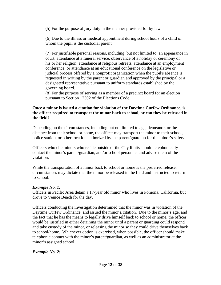(5) For the purpose of jury duty in the manner provided for by law.

(6) Due to the illness or medical appointment during school hours of a child of whom the pupil is the custodial parent.

(7) For justifiable personal reasons, including, but not limited to, an appearance in court, attendance at a funeral service, observance of a holiday or ceremony of his or her religion, attendance at religious retreats, attendance at an employment conference, or attendance at an educational conference on the legislative or judicial process offered by a nonprofit organization when the pupil's absence is requested in writing by the parent or guardian and approved by the principal or a designated representative pursuant to uniform standards established by the governing board.

(8) For the purpose of serving as a member of a precinct board for an election pursuant to Section 12302 of the Elections Code.

#### **Once a minor is issued a citation for violation of the Daytime Curfew Ordinance, is the officer required to transport the minor back to school, or can they be released in the field?**

Depending on the circumstances, including but not limited to age, demeanor, or the distance from their school or home, the officer may transport the minor to their school, police station, or other location authorized by the parent/guardian for the minor's safety.

Officers who cite minors who reside outside of the City limits should telephonically contact the minor's parent/guardian, and/or school personnel and advise them of the violation.

While the transportation of a minor back to school or home is the preferred release, circumstances may dictate that the minor be released in the field and instructed to return to school.

#### *Example No. 1:*

Officers in Pacific Area detain a 17-year old minor who lives in Pomona, California, but drove to Venice Beach for the day.

Officers conducting the investigation determined that the minor was in violation of the Daytime Curfew Ordinance, and issued the minor a citation. Due to the minor's age, and the fact that he has the means to legally drive himself back to school or home, the officer would be justified in either detaining the minor until a parent or guarding could respond and take custody of the minor, or releasing the minor so they could drive themselves back to school/home. Whichever option is exercised, when possible, the officer should make telephonic contact with the minor's parent/guardian, as well as an administrator at the minor's assigned school.

#### *Example No. 2:*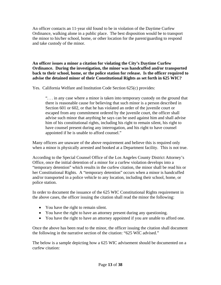An officer contacts an 11-year old found to be in violation of the Daytime Curfew Ordinance, walking alone in a public place. The best disposition would be to transport the minor to his/her school, home, or other location for the parent/guarding to respond and take custody of the minor.

**An officer issues a minor a citation for violating the City's Daytime Curfew Ordinance. During the investigation, the minor was handcuffed and/or transported back to their school, home, or the police station for release. Is the officer required to advise the detained minor of their Constitutional Rights as set forth in 625 WIC?** 

Yes. California Welfare and Institution Code Section 625(c) provides:

". . . in any case where a minor is taken into temporary custody on the ground that there is reasonable cause for believing that such minor is a person described in Section 601 or 602, or that he has violated an order of the juvenile court or escaped from any commitment ordered by the juvenile court, the officer shall advise such minor that anything he says can be used against him and shall advise him of his constitutional rights, including his right to remain silent, his right to have counsel present during any interrogation, and his right to have counsel appointed if he is unable to afford counsel."

Many officers are unaware of the above requirement and believe this is required only when a minor is physically arrested and booked at a Department facility. This is not true.

According to the Special Counsel Office of the Los Angeles County District Attorney's Office, once the initial detention of a minor for a curfew violation develops into a "temporary detention" which results in the curfew citation, the minor shall be read his or her Constitutional Rights. A "temporary detention" occurs when a minor is handcuffed and/or transported in a police vehicle to any location, including their school, home, or police station.

In order to document the issuance of the 625 WIC Constitutional Rights requirement in the above cases, the officer issuing the citation shall read the minor the following:

- You have the right to remain silent.
- You have the right to have an attorney present during any questioning.
- You have the right to have an attorney appointed if you are unable to afford one.

Once the above has been read to the minor, the officer issuing the citation shall document the following in the narrative section of the citation: "625 WIC advised."

The below is a sample depicting how a 625 WIC advisement should be documented on a curfew citation: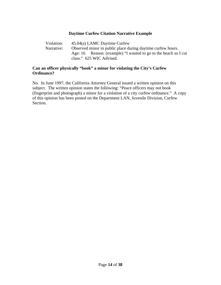#### **Daytime Curfew Citation Narrative Example**

Violation: 45.04(a) LAMC Daytime Curfew Narrative: Observed minor in public place during daytime curfew hours. Age: 16 Reason: (example) "I wanted to go to the beach so I cut class." 625 WIC Advised.

#### **Can an officer physically "book" a minor for violating the City's Curfew Ordinance?**

No. In June 1997, the California Attorney General issued a written opinion on this subject. The written opinion states the following: "Peace officers may not book (fingerprint and photograph) a minor for a violation of a city curfew ordinance." A copy of this opinion has been posted on the Department LAN, Juvenile Division, Curfew Section.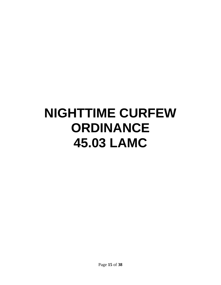# **NIGHTTIME CURFEW ORDINANCE 45.03 LAMC**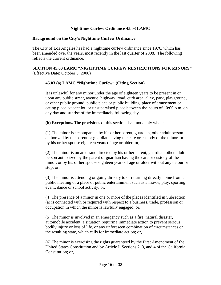#### **Nighttime Curfew Ordinance 45.03 LAMC**

#### **Background on the City's Nighttime Curfew Ordinance**

The City of Los Angeles has had a nighttime curfew ordinance since 1976, which has been amended over the years, most recently in the last quarter of 2008. The following reflects the current ordinance.

#### **SECTION 45.03 LAMC "NIGHTTIME CURFEW RESTRICTIONS FOR MINORS"**  (Effective Date: October 5, 2008)

#### **45.03 (a) LAMC "Nighttime Curfew" (Citing Section)**

It is unlawful for any minor under the age of eighteen years to be present in or upon any public street, avenue, highway, road, curb area, alley, park, playground, or other public ground, public place or public building, place of amusement or eating place, vacant lot, or unsupervised place between the hours of 10:00 p.m. on any day and sunrise of the immediately following day.

**(b) Exceptions.** The provisions of this section shall not apply when:

(1) The minor is accompanied by his or her parent, guardian, other adult person authorized by the parent or guardian having the care or custody of the minor, or by his or her spouse eighteen years of age or older; or,

(2) The minor is on an errand directed by his or her parent, guardian, other adult person authorized by the parent or guardian having the care or custody of the minor, or by his or her spouse eighteen years of age or older without any detour or stop; or,

(3) The minor is attending or going directly to or returning directly home from a public meeting or a place of public entertainment such as a movie, play, sporting event, dance or school activity; or,

(4) The presence of a minor in one or more of the places identified in Subsection (a) is connected with or required with respect to a business, trade, profession or occupation in which the minor is lawfully engaged; or,

(5) The minor is involved in an emergency such as a fire, natural disaster, automobile accident, a situation requiring immediate action to prevent serious bodily injury or loss of life, or any unforeseen combination of circumstances or the resulting state, which calls for immediate action; or,

(6) The minor is exercising the rights guaranteed by the First Amendment of the United States Constitution and by Article I, Sections 2, 3, and 4 of the California Constitution; or,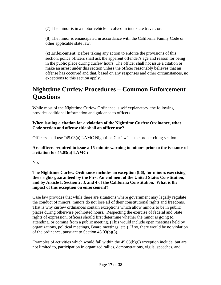(7) The minor is in a motor vehicle involved in interstate travel; or,

(8) The minor is emancipated in accordance with the California Family Code or other applicable state law.

**(c) Enforcement.** Before taking any action to enforce the provisions of this section, police officers shall ask the apparent offender's age and reason for being in the public place during curfew hours. The officer shall not issue a citation or make an arrest under this section unless the officer reasonably believes that an offense has occurred and that, based on any responses and other circumstances, no exceptions to this section apply.

### **Nighttime Curfew Procedures – Common Enforcement Questions**

While most of the Nighttime Curfew Ordinance is self explanatory, the following provides additional information and guidance to officers.

**When issuing a citation for a violation of the Nighttime Curfew Ordinance, what Code section and offense title shall an officer use?** 

Officers shall use "45.03(a) LAMC Nighttime Curfew" as the proper citing section.

**Are officers required to issue a 15-minute warning to minors prior to the issuance of a citation for 45.03(a) LAMC?** 

No**.** 

**The Nighttime Curfew Ordinance includes an exception (b6), for minors exercising their rights guaranteed by the First Amendment of the United States Constitution, and by Article I, Section 2, 3, and 4 of the California Constitution. What is the impact of this exception on enforcement?** 

Case law provides that while there are situations where government may legally regulate the conduct of minors, minors do not lose all of their constitutional rights and freedoms. That is why curfew ordinances contain exceptions which allow minors to be in public places during otherwise prohibited hours. Respecting the exercise of federal and State rights of expression, officers should first determine whether the minor is going to, attending, or coming from a public meeting. (This would include open meetings held by organizations, political meetings, Board meetings, etc.) If so, there would be no violation of the ordinance, pursuant to Section 45.03(b)(3).

Examples of activities which would fall within the 45.03(b)(6) exception include, but are not limited to, participation in organized rallies, demonstrations, vigils, speeches, and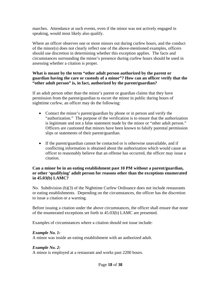marches. Attendance at such events, even if the minor was not actively engaged in speaking, would most likely also qualify.

Where an officer observes one or more minors out during curfew hours, and the conduct of the minor(s) does not clearly reflect one of the above-mentioned examples, officers should use discretion in determining whether this exception applies. The facts and circumstances surrounding the minor's presence during curfew hours should be used in assessing whether a citation is proper.

#### **What is meant by the term "other adult person authorized by the parent or guardian having the care or custody of a minor"? How can an officer verify that the "other adult person" is, in fact, authorized by the parent/guardian?**

If an adult person other than the minor's parent or guardian claims that they have permission from the parent/guardian to escort the minor in public during hours of nighttime curfew, an officer may do the following:

- Contact the minor's parent/guardian by phone or in person and verify the "authorization." The purpose of the verification is to ensure that the authorization is legitimate and not a false statement made by the minor or "other adult person." Officers are cautioned that minors have been known to falsify parental permission slips or statements of their parent/guardian.
- If the parent/guardian cannot be contacted or is otherwise unavailable, and if conflicting information is obtained about the authorization which would cause an officer to reasonably believe that an offense has occurred, the officer may issue a citation.

#### **Can a minor be in an eating establishment past 10 PM without a parent/guardian, or other 'qualifying' adult person for reasons other than the exceptions enumerated in 45.03(b) LAMC?**

No. Subdivision (b)(3) of the Nighttime Curfew Ordinance does not include restaurants or eating establishments. Depending on the circumstances, the officer has the discretion to issue a citation or a warning.

Before issuing a citation under the above circumstances, the officer shall ensure that none of the enumerated exceptions set forth in 45.03(b) LAMC are presented.

Examples of circumstances where a citation should not issue include:

#### *Example No. 1:*

A minor was inside an eating establishment with an authorized adult.

#### *Example No. 2:*

A minor is employed at a restaurant and works past 2200 hours.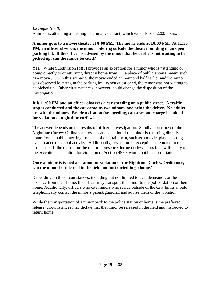#### *Example No. 3:*

A minor is attending a meeting held in a restaurant, which extends past 2200 hours.

#### **A minor goes to a movie theater at 8:00 PM. The movie ends at 10:00 PM. At 11:30 PM, an officer observes the minor loitering outside the theater building in an open parking lot. If the officer is advised by the minor that he or she is not waiting to be picked up, can the minor be cited?**

Yes. While Subdivision (b)(3) provides an exception for a minor who is "attending or going directly to or returning directly home from . . . a place of public entertainment such as a movie. . ," in this scenario, the movie ended an hour and half earlier and the minor was observed loitering in the parking lot. When questioned, the minor was not waiting to be picked up. Other circumstances, however, could change the disposition of the investigation.

#### **It is 11:00 PM and an officer observes a car speeding on a public street. A traffic stop is conducted and the car contains two minors, one being the driver. No adults are with the minors. Beside a citation for speeding, can a second charge be added for violation of nighttime curfew?**

The answer depends on the results of officer's investigation. Subdivision (b)(3) of the Nighttime Curfew Ordinance provides an exception if the minor is returning directly home from a public meeting, or place of entertainment, such as a movie, play, sporting event, dance or school activity. Additionally, several other exceptions are noted in the ordinance. If the reason for the minor's presence during curfew hours falls within any of the exceptions, a citation for violation of Section 45.03 would not be appropriate.

#### **Once a minor is issued a citation for violation of the Nighttime Curfew Ordinance, can the minor be released in the field and instructed to go home?**

Depending on the circumstances, including but not limited to age, demeanor, or the distance from their home, the officer may transport the minor to the police station or their home. Additionally, officers who cite minors who reside outside of the City limits should telephonically contact the minor's parent/guardian and advise them of the violation.

While the transportation of a minor back to the police station or home is the preferred release, circumstances may dictate that the minor be released in the field and instructed to return home.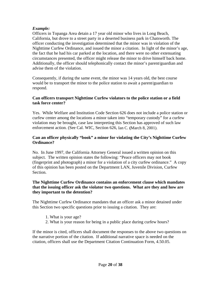#### *Example:*

Officers in Topanga Area detain a 17 year old minor who lives in Long Beach, California, but drove to a street party in a deserted business park in Chatsworth. The officer conducting the investigation determined that the minor was in violation of the Nighttime Curfew Ordinance, and issued the minor a citation. In light of the minor's age, the fact that he had his car parked at the location, and there were no other extenuating circumstances presented, the officer might release the minor to drive himself back home. Additionally, the officer should telephonically contact the minor's parent/guardian and advise them of the violation.

Consequently, if during the same event, the minor was 14 years old, the best course would be to transport the minor to the police station to await a parent/guardian to respond.

#### **Can officers transport Nighttime Curfew violators to the police station or a field task force center?**

Yes. While Welfare and Institution Code Section 626 does not include a police station or curfew center among the locations a minor taken into "temporary custody" for a curfew violation may be brought, case law interpreting this Section has approved of such law enforcement action. (See Cal. WIC, Section 626, Ian C. **(**March 8, 2001).

#### **Can an officer physically "book" a minor for violating the City's Nighttime Curfew Ordinance?**

No. In June 1997, the California Attorney General issued a written opinion on this subject. The written opinion states the following: "Peace officers may not book (fingerprint and photograph) a minor for a violation of a city curfew ordinance." A copy of this opinion has been posted on the Department LAN, Juvenile Division, Curfew Section.

#### **The Nighttime Curfew Ordinance contains an enforcement clause which mandates that the issuing officer ask the violator two questions. What are they and how are they important to the detention?**

The Nighttime Curfew Ordinance mandates that an officer ask a minor detained under this Section two specific questions prior to issuing a citation. They are:

- 1. What is your age?
- 2. What is your reason for being in a public place during curfew hours?

If the minor is cited, officers shall document the responses to the above two questions on the narrative portion of the citation. If additional narrative space is needed on the citation, officers shall use the Department Citation Continuation Form, 4.50.05.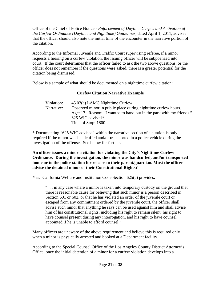Office of the Chief of Police Notice - *Enforcement of Daytime Curfew and Activation of the Curfew Ordinance (Daytime and Nighttime) Guidelines*, dated April 1, 2011, advises that the officer should also note the initial time of the encounter in the narrative portion of the citation.

According to the Informal Juvenile and Traffic Court supervising referee, if a minor requests a hearing on a curfew violation, the issuing officer will be subpoenaed into court. If the court determines that the officer failed to ask the two above questions, or the officer does not remember if the questions were asked, there is a greater potential for the citation being dismissed.

Below is a sample of what should be documented on a nighttime curfew citation:

#### **Curfew Citation Narrative Example**

| Violation: | 45.03(a) LAMC Nighttime Curfew                                      |
|------------|---------------------------------------------------------------------|
| Narrative: | Observed minor in public place during night time curfew hours.      |
|            | Age: 17 Reason: "I wanted to hand out in the park with my friends." |
|            | 625 WIC advised*                                                    |
|            | Time of Stop: 1800                                                  |

\* Documenting "625 WIC advised" within the narrative section of a citation is only required if the minor was handcuffed and/or transported in a police vehicle during the investigation of the offense. See below for further.

**An officer issues a minor a citation for violating the City's Nighttime Curfew Ordinance. During the investigation, the minor was handcuffed, and/or transported home or to the police station for release to their parent/guardian. Must the officer advise the detained minor of their Constitutional Rights?** 

Yes. California Welfare and Institution Code Section 625(c) provides:

". . . in any case where a minor is taken into temporary custody on the ground that there is reasonable cause for believing that such minor is a person described in Section 601 or 602, or that he has violated an order of the juvenile court or escaped from any commitment ordered by the juvenile court, the officer shall advise such minor that anything he says can be used against him and shall advise him of his constitutional rights, including his right to remain silent, his right to have counsel present during any interrogation, and his right to have counsel appointed if he is unable to afford counsel."

Many officers are unaware of the above requirement and believe this is required only when a minor is physically arrested and booked at a Department facility.

According to the Special Counsel Office of the Los Angeles County District Attorney's Office, once the initial detention of a minor for a curfew violation develops into a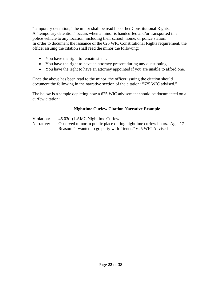"temporary detention," the minor shall be read his or her Constitutional Rights. A "temporary detention" occurs when a minor is handcuffed and/or transported in a police vehicle to any location, including their school, home, or police station. In order to document the issuance of the 625 WIC Constitutional Rights requirement, the officer issuing the citation shall read the minor the following:

- You have the right to remain silent.
- You have the right to have an attorney present during any questioning.
- You have the right to have an attorney appointed if you are unable to afford one.

Once the above has been read to the minor, the officer issuing the citation should document the following in the narrative section of the citation: "625 WIC advised."

The below is a sample depicting how a 625 WIC advisement should be documented on a curfew citation:

#### **Nighttime Curfew Citation Narrative Example**

Violation: 45.03(a) LAMC Nighttime Curfew Narrative: Observed minor in public place during nighttime curfew hours. Age: 17 Reason: "I wanted to go party with friends." 625 WIC Advised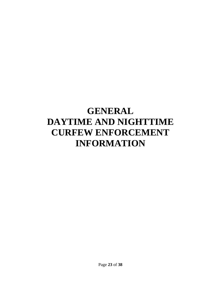### **GENERAL DAYTIME AND NIGHTTIME CURFEW ENFORCEMENT INFORMATION**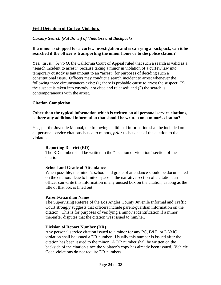#### **Field Detention of Curfew Violators**

#### *Cursory Search (Pat Down) of Violators and Backpacks*

#### **If a minor is stopped for a curfew investigation and is carrying a backpack, can it be searched if the officer is transporting the minor home or to the police station?**

Yes. In *Humberto O*, the California Court of Appeal ruled that such a search is valid as a "search incident to arrest," because taking a minor in violation of a curfew law into temporary custody is tantamount to an "arrest" for purposes of deciding such a constitutional issue. Officers may conduct a search incident to arrest whenever the following three circumstances exist: (1) there is probable cause to arrest the suspect; (2) the suspect is taken into custody, not cited and released; and (3) the search is contemporaneous with the arrest.

#### **Citation Completion**

#### **Other than the typical information which is written on all personal service citations, is there any additional information that should be written on a minor's citation?**

Yes, per the Juvenile Manual, the following additional information shall be included on all personal service citations issued to minors, *prior* to issuance of the citation to the violator.

#### **Reporting District (RD)**

The RD number shall be written in the "location of violation" section of the citation.

#### **School and Grade of Attendance**

When possible, the minor's school and grade of attendance should be documented on the citation. Due to limited space in the narrative section of a citation, an officer can write this information in any unused box on the citation, as long as the title of that box is lined out.

#### **Parent/Guardian Name**

The Supervising Referee of the Los Angles County Juvenile Informal and Traffic Court strongly suggests that officers include parent/guardian information on the citation. This is for purposes of verifying a minor's identification if a minor thereafter disputes that the citation was issued to him/her.

#### **Division of Report Number (DR)**

Any personal service citation issued to a minor for any PC, B&P, or LAMC violation shall be issued a DR number. Usually this number is issued after the citation has been issued to the minor. A DR number shall be written on the backside of the citation since the violator's copy has already been issued. Vehicle Code violations do not require DR numbers.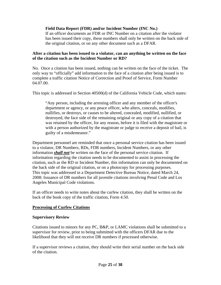**Field Data Report (FDR) and/or Incident Number (INC No.)** 

If an officer documents an FDR or INC Number on a citation after the violator has been issued their copy, these numbers shall only be written on the back side of the original citation, or on any other document such as a DFAR.

#### **After a citation has been issued to a violator, can an anything be written on the face of the citation such as the Incident Number or RD?**

No. Once a citation has been issued, nothing can be written on the face of the ticket. The only way to "officially" add information to the face of a citation after being issued is to complete a traffic citation Notice of Correction and Proof of Service, Form Number 04.07.00.

This topic is addressed in Section 40500(d) of the California Vehicle Code, which states:

"Any person, including the arresting officer and any member of the officer's department or agency, or any peace officer, who alters, conceals, modifies, nullifies, or destroys, or causes to be altered, concealed, modified, nullified, or destroyed, the face side of the remaining original or any copy of a citation that was retained by the officer, for any reason, before it is filed with the magistrate or with a person authorized by the magistrate or judge to receive a deposit of bail, is guilty of a misdemeanor."

Department personnel are reminded that once a personal service citation has been issued to a violator, DR Numbers, RDs, FDR numbers, Incident Numbers, or any other information *shall not* be written on the face of the personal service citation. If information regarding the citation needs to be documented to assist in processing the citation, such as the RD or Incident Number, this information can only be documented on the back side of the original citation, or on a photocopy for processing purposes. This topic was addressed in a Department Detective Bureau Notice, dated March 24, 2008: Issuance of DR numbers for all juvenile citations involving Penal Code and Los Angeles Municipal Code violations.

If an officer needs to write notes about the curfew citation, they shall be written on the back of the book copy of the traffic citation, Form 4.50.

#### **Processing of Curfew Citations**

#### **Supervisory Review**

Citations issued to minors for any PC, B&P, or LAMC violations shall be submitted to a supervisor for review, prior to being submitted with the officers DFAR due to the likelihood that they will not receive DR numbers if processed otherwise.

If a supervisor reviews a citation, they should write their serial number on the back side of the citation.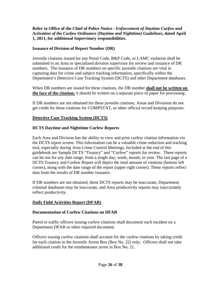#### **Refer to Office of the Chief of Police Notice -** *Enforcement of Daytime Curfew and Activation of the Curfew Ordinance (Daytime and Nighttime) Guidelines***, dated April 1, 2011, for additional Supervisory responsibilities.**

#### **Issuance of Division of Report Number (DR)**

Juvenile citations issued for any Penal Code, B&P Code, or LAMC violation shall be submitted to an Area or specialized division supervisor for review and issuance of DR numbers. The issuance of DR numbers on specific juvenile citations are vital in capturing data for crime and subject tracking information, specifically within the Department's Detective Case Tracking System (DCTS) and other Department databases.

When DR numbers are issued for these citations, the DR number **shall not be written on the face of the citation;** it should be written on a separate piece of paper for processing.

If DR numbers are not obtained for these juvenile citations, Areas and Divisions do not get credit for these citations for COMPSTAT, or other official record keeping purposes.

#### **Detective Case Tracking System (DCTS)**

#### **DCTS Daytime and Nighttime Curfew Reports**

Each Area and Division has the ability to view and print curfew citation information via the DCTS report screen. This information can be a valuable crime reduction and tracking tool, especially during Area Crime Control Meetings. Included at the end of this guidebook are Sample DCTS "Truancy" and "Curfew" reports for review. These reports can be run for any date range, from a single day, week, month, or year. The last page of a DCTS Truancy and Curfew Report will depict the total amount of citations (bottom left corner), along with the date range of the report (upper right corner). These reports reflect data from the results of DR number issuance.

If DR numbers are not obtained, these DCTS reports may be inaccurate, Department criminal databases may be inaccurate, and Area productivity reports may inaccurately reflect productivity.

#### **Daily Field Activities Report (DFAR)**

#### **Documentation of Curfew Citations on DFAR**

Patrol or traffic officers issuing curfew citations shall document each incident on a Department DFAR or other required document.

Officers issuing curfew citations shall account for the curfew citations by taking credit for each citation in the Juvenile Arrest Box (Box No. 22) only. Officers shall not take additional credit for the misdemeanor arrest in Box No. 21.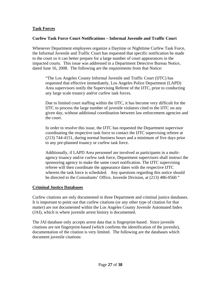#### **Task Forces**

#### **Curfew Task Force Court Notifications – Informal Juvenile and Traffic Court**

Whenever Department employees organize a Daytime or Nighttime Curfew Task Force, the Informal Juvenile and Traffic Court has requested that specific notification be made to the court so it can better prepare for a large number of court appearances in the impacted courts. This issue was addressed in a Department Detective Bureau Notice, dated June 16, 2008. The following are the requirements from that Notice:

"The Los Angeles County Informal Juvenile and Traffic Court (IJTC) has requested that effective immediately, Los Angeles Police Department (LAPD) Area supervisors notify the Supervising Referee of the IJTC, prior to conducting any large scale truancy and/or curfew task forces.

Due to limited court staffing within the IJTC, it has become very difficult for the IJTC to process the large number of juvenile violators cited to the IJTC on any given day, without additional coordination between law enforcement agencies and the court.

In order to resolve this issue, the IJTC has requested the Department supervisor coordinating the respective task force to contact the IJTC supervising referee at (213) 744-4151, during normal business hours and a minimum of five days prior to any pre-planned truancy or curfew task force.

Additionally, if LAPD Area personnel are involved as participants in a multiagency truancy and/or curfew task force, Department supervisors shall instruct the sponsoring agency to make the same court notification. The IJTC supervising referee will then coordinate the appearance dates with the respective IJTC wherein the task force is scheduled. Any questions regarding this notice should be directed to the Consultants' Office, Juvenile Division, at (213) 486-0560."

#### **Criminal Justice Databases**

Curfew citations are only documented in three Department and criminal justice databases. It is important to point out that curfew citations (or any other type of citation for that matter) are not documented within the Los Angeles County Juvenile Automated Index (JAI), which is where juvenile arrest history is documented.

The JAI database only accepts arrest data that is fingerprint-based. Since juvenile citations are not fingerprint-based (which confirms the identification of the juvenile), documentation of the citation is very limited. The following are the databases which document juvenile citations: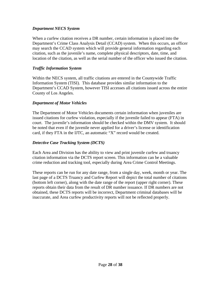#### *Department NECS System*

When a curfew citation receives a DR number, certain information is placed into the Department's Crime Class Analysis Detail (CCAD) system. When this occurs, an officer may search the CCAD system which will provide general information regarding each citation, such as the juvenile's name, complete physical descriptors, date, time, and location of the citation, as well as the serial number of the officer who issued the citation.

#### *Traffic Information System*

Within the NECS system, all traffic citations are entered in the Countywide Traffic Information System (TISI). This database provides similar information to the Department's CCAD System, however TISI accesses all citations issued across the entire County of Los Angeles.

#### *Department of Motor Vehicles*

The Department of Motor Vehicles documents certain information when juveniles are issued citations for curfew violation, especially if the juvenile failed to appear (FTA) in court. The juvenile's information should be checked within the DMV system. It should be noted that even if the juvenile never applied for a driver's license or identification card, if they FTA in the IJTC, an automatic "X" record would be created.

#### *Detective Case Tracking System (DCTS)*

Each Area and Division has the ability to view and print juvenile curfew and truancy citation information via the DCTS report screen. This information can be a valuable crime reduction and tracking tool, especially during Area Crime Control Meetings.

These reports can be run for any date range, from a single day, week, month or year. The last page of a DCTS Truancy and Curfew Report will depict the total number of citations (bottom left corner), along with the date range of the report (upper right corner). These reports obtain their data from the result of DR number issuance. If DR numbers are not obtained, these DCTS reports will be incorrect, Department criminal databases will be inaccurate, and Area curfew productivity reports will not be reflected properly.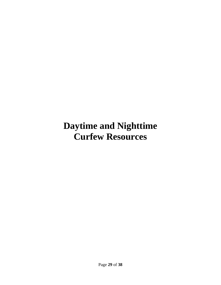### **Daytime and Nighttime Curfew Resources**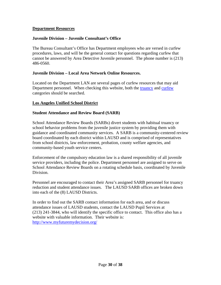#### **Department Resources**

#### **Juvenile Division – Juvenile Consultant's Office**

The Bureau Consultant's Office has Department employees who are versed in curfew procedures, laws, and will be the general contact for questions regarding curfew that cannot be answered by Area Detective Juvenile personnel. The phone number is (213) 486-0560.

#### **Juvenile Division – Local Area Network Online Resources.**

Located on the Department LAN are several pages of curfew resources that may aid Department personnel. When checking this website, both the truancy and curfew categories should be searched.

#### **Los Angeles Unified School District**

#### **Student Attendance and Review Board (SARB)**

School Attendance Review Boards (SARBs) divert students with habitual truancy or school behavior problems from the juvenile justice system by providing them with guidance and coordinated community services. A SARB is a community-centered review board coordinated by each district within LAUSD and is comprised of representatives from school districts, law enforcement, probation, county welfare agencies, and community-based youth service centers.

Enforcement of the compulsory education law is a shared responsibility of all juvenile service providers, including the police. Department personnel are assigned to serve on School Attendance Review Boards on a rotating schedule basis, coordinated by Juvenile Division.

Personnel are encouraged to contact their Area's assigned SARB personnel for truancy reduction and student attendance issues. The LAUSD SARB offices are broken down into each of the (8) LAUSD Districts.

In order to find out the SARB contact information for each area, and or discuss attendance issues of LAUSD students, contact the LAUSD Pupil Services at (213) 241-3844, who will identify the specific office to contact. This office also has a website with valuable information. Their website is: http://www.myfuturemydecision.org/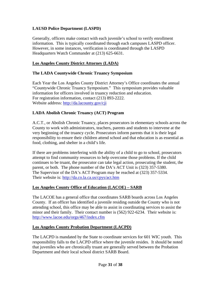#### **LAUSD Police Department (LASPD)**

Generally, officers make contact with each juvenile's school to verify enrollment information. This is typically coordinated through each campuses LASPD officer. However, in some instances, verification is coordinated through the LASPD Headquarters Watch Commander at (213) 625-6631.

#### **Los Angeles County District Attorney (LADA)**

#### **The LADA Countywide Chronic Truancy Symposium**

Each Year the Los Angeles County District Attorney's Office coordinates the annual "Countywide Chronic Truancy Symposium." This symposium provides valuable information for officers involved in truancy reduction and education. For registration information, contact (213) 893-2222. Website address: http://da.lacounty.gov/cji

#### **LADA Abolish Chronic Truancy (ACT) Program**

A.C.T., or Abolish Chronic Truancy, places prosecutors in elementary schools across the County to work with administrators, teachers, parents and students to intervene at the very beginning of the truancy cycle. Prosecutors inform parents that it is their legal responsibility to ensure their children attend school and that education is as essential as food, clothing, and shelter in a child's life.

If there are problems interfering with the ability of a child to go to school, prosecutors attempt to find community resources to help overcome those problems. If the child continues to be truant, the prosecutor can take legal action, prosecuting the student, the parent, or both. The phone number of the DA's ACT Unit is (323) 357-5380. The Supervisor of the DA's ACT Program may be reached at (323) 357-5334. Their website is: http://da.co.la.ca.us/cpys/act.htm

#### **Los Angeles County Office of Education (LACOE) – SARB**

The LACOE has a general office that coordinates SARB boards across Los Angeles County. If an officer has identified a juvenile residing outside the County who is not attending school, this office may be able to assist in coordinating services to assist the minor and their family. Their contact number is (562) 922-6234. Their website is: http://www.lacoe.edu/orgs/467/index.cfm

#### **Los Angeles County Probation Department (LACPD)**

The LACPD is mandated by the State to coordinate services for 601 WIC youth. This responsibility falls to the LACPD office where the juvenile resides. It should be noted that juveniles who are chronically truant are generally served between the Probation Department and their local school district SARB Board.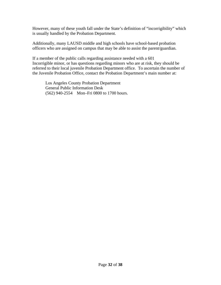However, many of these youth fall under the State's definition of "incorrigibility" which is usually handled by the Probation Department.

Additionally, many LAUSD middle and high schools have school-based probation officers who are assigned on campus that may be able to assist the parent/guardian.

If a member of the public calls regarding assistance needed with a 601 Incorrigible minor, or has questions regarding minors who are at risk, they should be referred to their local juvenile Probation Department office. To ascertain the number of the Juvenile Probation Office, contact the Probation Department's main number at:

Los Angeles County Probation Department General Public Information Desk (562) 940-2554 Mon–Fri 0800 to 1700 hours.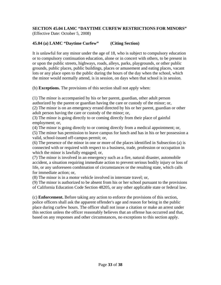#### **SECTION 45.04 LAMC "DAYTIME CURFEW RESTRICTIONS FOR MINORS"**  (Effective Date: October 5, 2008)

#### **45.04 (a) LAMC "Daytime Curfew" (Citing Section)**

It is unlawful for any minor under the age of 18, who is subject to compulsory education or to compulsory continuation education, alone or in concert with others, to be present in or upon the public streets, highways, roads, alleys, parks, playgrounds, or other public grounds, public places, public buildings, places or amusement and eating places, vacant lots or any place open to the public during the hours of the day when the school, which the minor would normally attend, is in session, on days when that school is in session.

(b) **Exceptions.** The provisions of this section shall not apply when:

(1) The minor is accompanied by his or her parent, guardian, other adult person authorized by the parent or guardian having the care or custody of the minor; or, (2) The minor is on an emergency errand directed by his or her parent, guardian or other adult person having the care or custody of the minor; or,

(3) The minor is going directly to or coming directly from their place of gainful employment; or,

(4) The minor is going directly to or coming directly from a medical appointment; or, (5) The minor has permission to leave campus for lunch and has in his or her possession a valid, school-issued off-campus permit; or,

(6) The presence of the minor in one or more of the places identified in Subsection (a) is connected with or required with respect to a business, trade, profession or occupation in which the minor is lawfully engaged; or,

(7) The minor is involved in an emergency such as a fire, natural disaster, automobile accident, a situation requiring immediate action to prevent serious bodily injury or loss of life, or any unforeseen combination of circumstances or the resulting state, which calls for immediate action; or,

(8) The minor is in a motor vehicle involved in interstate travel; or,

(9) The minor is authorized to be absent from his or her school pursuant to the provisions of California Education Code Section 48205, or any other applicable state or federal law.

(c) **Enforcement.** Before taking any action to enforce the provisions of this section, police officers shall ask the apparent offender's age and reason for being in the public place during curfew hours. The officer shall not issue a citation or make an arrest under this section unless the officer reasonably believes that an offense has occurred and that, based on any responses and other circumstances, no exceptions to this section apply.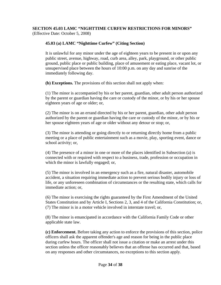#### **SECTION 45.03 LAMC "NIGHTTIME CURFEW RESTRICTIONS FOR MINORS"**  (Effective Date: October 5, 2008)

#### **45.03 (a) LAMC "Nighttime Curfew" (Citing Section)**

It is unlawful for any minor under the age of eighteen years to be present in or upon any public street, avenue, highway, road, curb area, alley, park, playground, or other public ground, public place or public building, place of amusement or eating place, vacant lot, or unsupervised place between the hours of 10:00 p.m. on any day and sunrise of the immediately following day.

**(b) Exceptions.** The provisions of this section shall not apply when:

(1) The minor is accompanied by his or her parent, guardian, other adult person authorized by the parent or guardian having the care or custody of the minor, or by his or her spouse eighteen years of age or older; or,

(2) The minor is on an errand directed by his or her parent, guardian, other adult person authorized by the parent or guardian having the care or custody of the minor, or by his or her spouse eighteen years of age or older without any detour or stop; or,

(3) The minor is attending or going directly to or returning directly home from a public meeting or a place of public entertainment such as a movie, play, sporting event, dance or school activity; or,

(4) The presence of a minor in one or more of the places identified in Subsection (a) is connected with or required with respect to a business, trade, profession or occupation in which the minor is lawfully engaged; or,

(5) The minor is involved in an emergency such as a fire, natural disaster, automobile accident, a situation requiring immediate action to prevent serious bodily injury or loss of life, or any unforeseen combination of circumstances or the resulting state, which calls for immediate action; or,

(6) The minor is exercising the rights guaranteed by the First Amendment of the United States Constitution and by Article I, Sections 2, 3, and 4 of the California Constitution; or, (7) The minor is in a motor vehicle involved in interstate travel; or,

(8) The minor is emancipated in accordance with the California Family Code or other applicable state law.

**(c) Enforcement.** Before taking any action to enforce the provisions of this section, police officers shall ask the apparent offender's age and reason for being in the public place during curfew hours. The officer shall not issue a citation or make an arrest under this section unless the officer reasonably believes that an offense has occurred and that, based on any responses and other circumstances, no exceptions to this section apply.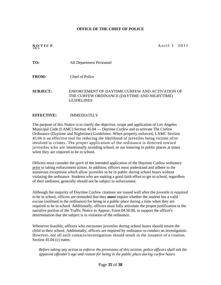#### **OFFICE OF THE CHIEF OF POLICE**

**NOTICE** April 1 2011

**TO:** All Department Personnel

**FROM:** Chief of Police

**SUBJECT:** ENFORCEMENT OF DAYTIME CURFEW AND ACTIVATION OF THE CURFEW ORDINANCE (DAYTIME AND NIGHTTIME) GUIDELINES

#### **EFFECTIVE:** IMMEDIATELY

The purpose of this Notice is to clarify the objective, scope and application of Los Angeles Municipal Code (LAMC) Section 45.04 — *Daytime Curfew* and to activate The Curfew Ordinance (Daytime and Nighttime) Guidelines. When properly enforced, LAMC Section 45.04 is an effective tool for reducing the likelihood of juveniles being victims of/or involved in crimes. The proper application of the ordinance is directed toward juveniles who are intentionally avoiding school, or are loitering in public places at times when they are required to be in school.

Officers must consider the *spirit* of the intended application of the Daytime Curfew ordinance prior to taking enforcement action. In addition, officers must understand and adhere to the numerous exceptions which allow juveniles to be in public during school hours without violating the ordinance. Students who are making a good faith effort to get to school, regardless of their tardiness, generally should not be subject to enforcement.

Although the majority of Daytime Curfew citations are issued well after the juvenile is required to be in school, officers are reminded that they **must** inquire whether the student has a valid excuse (outlined in the ordinance) for being in a public place during a time when they are required to be in school. Additionally, officers must fully articulate the proper justification in the narrative portion of the Traffic Notice to Appear, Form 04.50.00, to support the officer's determination that the subject is in violation of the ordinance.

Whenever feasible, officers who encounter juveniles during school hours should return the child to their school. Additionally, officers are required by ordinance to conduct an investigation. However, not all such contacts/investigations should result in the issuance of a citation. Section 45.04 (c) states:

*Before taking any action to enforce the provisions of this section, police officers shall ask the apparent offender's age and reason for being in the public place during curfew hours.*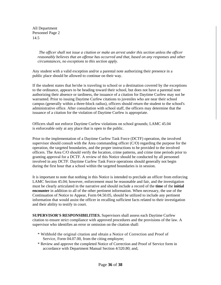All Department Personnel Page 2 14.5

> *The officer shall not issue a citation or make an arrest under this section unless the officer reasonably believes that an offense has occurred and that, based on any responses and other circumstances, no exceptions to this section apply.*

Any student with a valid exception and/or a parental note authorizing their presence in a public place should be allowed to continue on their way.

If the student states that he/she is traveling to school or a destination covered by the exceptions to the ordinance, appears to be heading toward their school, but does not have a parental note authorizing their absence or tardiness, the issuance of a citation for Daytime Curfew may not be warranted. Prior to issuing Daytime Curfew citations to juveniles who are near their school campus (generally within a three-block radius), officers should return the student to the school's administrative office. After consultation with school staff, the officers may determine that the issuance of a citation for the violation of Daytime Curfew is appropriate.

Officers shall not enforce Daytime Curfew violations on school grounds; LAMC 45.04 is enforceable only at any place that is open to the public.

Prior to the implementation of a Daytime Curfew Task Force (DCTF) operation, the involved supervisor should consult with the Area commanding officer  $(C/O)$  regarding the purpose for the operation, the targeted boundaries, and the proper instructions to be provided to the involved officers. The Area C/O should verify the location, crime patterns, and crime time periods prior to granting approval for a DCTF. A review of this Notice should be conducted by all personnel involved in any DCTF. Daytime Curfew Task Force operations should generally not begin during the first hour that a school within the targeted boundaries is in session.

It is important to note that nothing in this Notice is intended to preclude an officer from enforcing LAMC Section 45.04; however, enforcement must be reasonable and fair, and the investigation must be clearly articulated in the narrative and should include a record of the **time** of the **initial encounter** in addition to all of the other pertinent information. When necessary, the use of the Continuation of Notice to Appear, Form 04.50.05, should be utilized to include any pertinent information that would assist the officer in recalling sufficient facts related to their investigation and their ability to testify in court.

**SUPERVISOR'S RESPONSIBILITIES.** Supervisors shall assess each Daytime Curfew citation to ensure strict compliance with approved procedures and the provisions of the law. A supervisor who identifies an error or omission on the citation shall:

- \* Withhold the original citation and obtain a Notice of Correction and Proof of Service, Form 04.07.00, from the citing employee;
- \* Review and approve the completed Notice of Correction and Proof of Service form in accordance with Department Manual Section 4/320.80; and,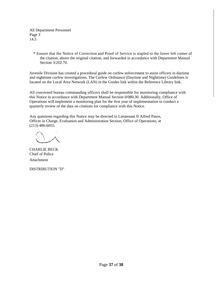All Department Personnel Page 3 14.5

\* Ensure that the Notice of Correction and Proof of Service is stapled to the lower left comer of the citation, above the original citation, and forwarded in accordance with Department Manual Section 3/202.70.

Juvenile Division has created a procedural guide on curfew enforcement to assist officers in daytime and nighttime curfew investigations. The Curfew Ordinance (Daytime and Nighttime) Guidelines is located on the Local Area Network (LAN) in the Guides link within the Reference Library link.

All concerned bureau commanding officers shall be responsible for monitoring compliance with this Notice in accordance with Department Manual Section 0/080.30. Additionally, Office of Operations will implement a monitoring plan for the first year of implementation to conduct a quarterly review of the data on citations for compliance with this Notice.

Any questions regarding this Notice may be directed to Lieutenant II Alfred Pasos, Officer in Charge, Evaluation and Administration Section, Office of Operations, at (213) 486-6055.

CHARLIE BECK Chief of Police Attachment

DISTRIBUTION "D"